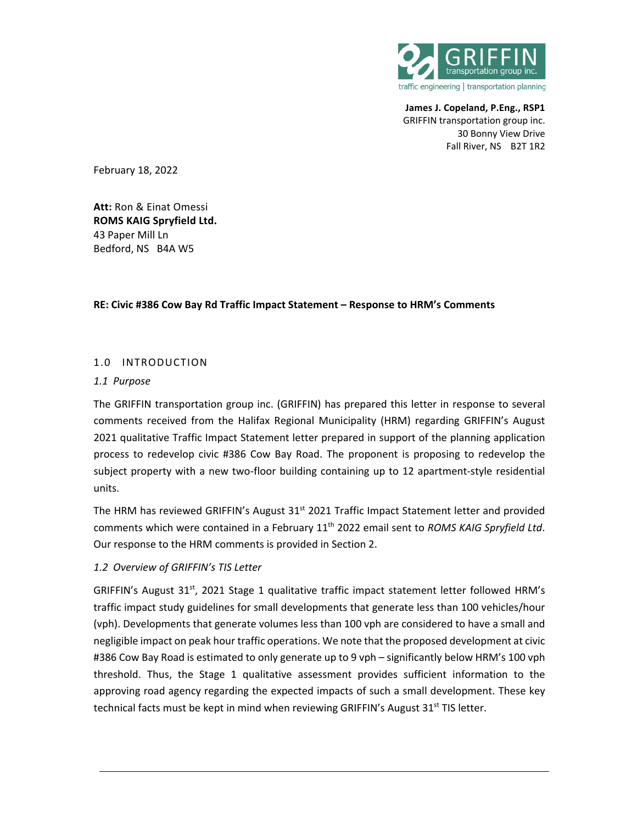

**James J. Copeland, P.Eng., RSP1** GRIFFIN transportation group inc. 30 Bonny View Drive Fall River, NS B2T 1R2

February 18, 2022

**Att:** Ron & Einat Omessi **ROMS KAIG Spryfield Ltd.**  43 Paper Mill Ln Bedford, NS B4A W5

#### **RE: Civic #386 Cow Bay Rd Traffic Impact Statement – Response to HRM's Comments**

### 1.0 INTRODUCTION

#### *1.1 Purpose*

The GRIFFIN transportation group inc. (GRIFFIN) has prepared this letter in response to several comments received from the Halifax Regional Municipality (HRM) regarding GRIFFIN's August 2021 qualitative Traffic Impact Statement letter prepared in support of the planning application process to redevelop civic #386 Cow Bay Road. The proponent is proposing to redevelop the subject property with a new two-floor building containing up to 12 apartment-style residential units.

The HRM has reviewed GRIFFIN's August 31<sup>st</sup> 2021 Traffic Impact Statement letter and provided comments which were contained in a February 11th 2022 email sent to *ROMS KAIG Spryfield Ltd*. Our response to the HRM comments is provided in Section 2.

### *1.2 Overview of GRIFFIN's TIS Letter*

GRIFFIN's August  $31<sup>st</sup>$ , 2021 Stage 1 qualitative traffic impact statement letter followed HRM's traffic impact study guidelines for small developments that generate less than 100 vehicles/hour (vph). Developments that generate volumes less than 100 vph are considered to have a small and negligible impact on peak hour traffic operations. We note that the proposed development at civic #386 Cow Bay Road is estimated to only generate up to 9 vph – significantly below HRM's 100 vph threshold. Thus, the Stage 1 qualitative assessment provides sufficient information to the approving road agency regarding the expected impacts of such a small development. These key technical facts must be kept in mind when reviewing GRIFFIN's August  $31^{st}$  TIS letter.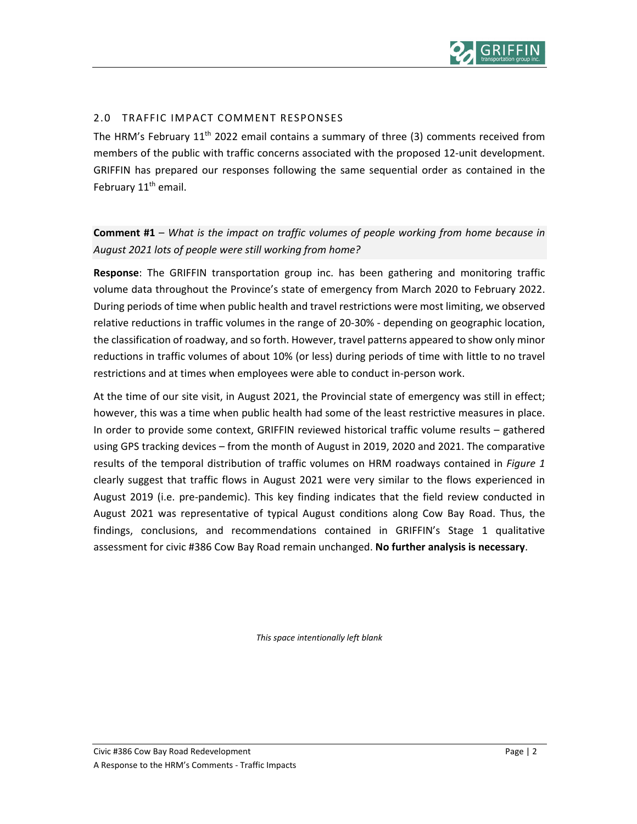

# 2.0 TRAFFIC IMPACT COMMENT RESPONSES

The HRM's February  $11<sup>th</sup>$  2022 email contains a summary of three (3) comments received from members of the public with traffic concerns associated with the proposed 12‐unit development. GRIFFIN has prepared our responses following the same sequential order as contained in the February 11<sup>th</sup> email.

# **Comment #1** – *What is the impact on traffic volumes of people working from home because in August 2021 lots of people were still working from home?*

**Response**: The GRIFFIN transportation group inc. has been gathering and monitoring traffic volume data throughout the Province's state of emergency from March 2020 to February 2022. During periods of time when public health and travel restrictions were most limiting, we observed relative reductions in traffic volumes in the range of 20‐30% ‐ depending on geographic location, the classification of roadway, and so forth. However, travel patterns appeared to show only minor reductions in traffic volumes of about 10% (or less) during periods of time with little to no travel restrictions and at times when employees were able to conduct in‐person work.

At the time of our site visit, in August 2021, the Provincial state of emergency was still in effect; however, this was a time when public health had some of the least restrictive measures in place. In order to provide some context, GRIFFIN reviewed historical traffic volume results – gathered using GPS tracking devices – from the month of August in 2019, 2020 and 2021. The comparative results of the temporal distribution of traffic volumes on HRM roadways contained in *Figure 1* clearly suggest that traffic flows in August 2021 were very similar to the flows experienced in August 2019 (i.e. pre‐pandemic). This key finding indicates that the field review conducted in August 2021 was representative of typical August conditions along Cow Bay Road. Thus, the findings, conclusions, and recommendations contained in GRIFFIN's Stage 1 qualitative assessment for civic #386 Cow Bay Road remain unchanged. **No further analysis is necessary**.

*This space intentionally left blank*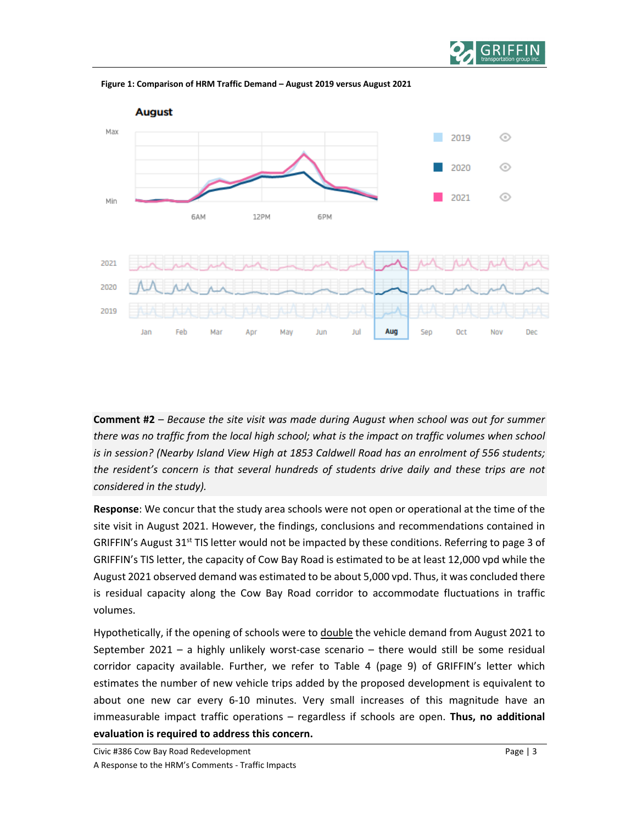



**Figure 1: Comparison of HRM Traffic Demand – August 2019 versus August 2021**

**Comment #2** – *Because the site visit was made during August when school was out for summer there was no traffic from the local high school; what is the impact on traffic volumes when school is in session? (Nearby Island View High at 1853 Caldwell Road has an enrolment of 556 students; the resident's concern is that several hundreds of students drive daily and these trips are not considered in the study).*

**Response**: We concur that the study area schools were not open or operational at the time of the site visit in August 2021. However, the findings, conclusions and recommendations contained in GRIFFIN's August  $31^{st}$  TIS letter would not be impacted by these conditions. Referring to page 3 of GRIFFIN's TIS letter, the capacity of Cow Bay Road is estimated to be at least 12,000 vpd while the August 2021 observed demand was estimated to be about 5,000 vpd. Thus, it was concluded there is residual capacity along the Cow Bay Road corridor to accommodate fluctuations in traffic volumes.

Hypothetically, if the opening of schools were to double the vehicle demand from August 2021 to September 2021 – a highly unlikely worst-case scenario – there would still be some residual corridor capacity available. Further, we refer to Table 4 (page 9) of GRIFFIN's letter which estimates the number of new vehicle trips added by the proposed development is equivalent to about one new car every 6‐10 minutes. Very small increases of this magnitude have an immeasurable impact traffic operations – regardless if schools are open. **Thus, no additional evaluation is required to address this concern.**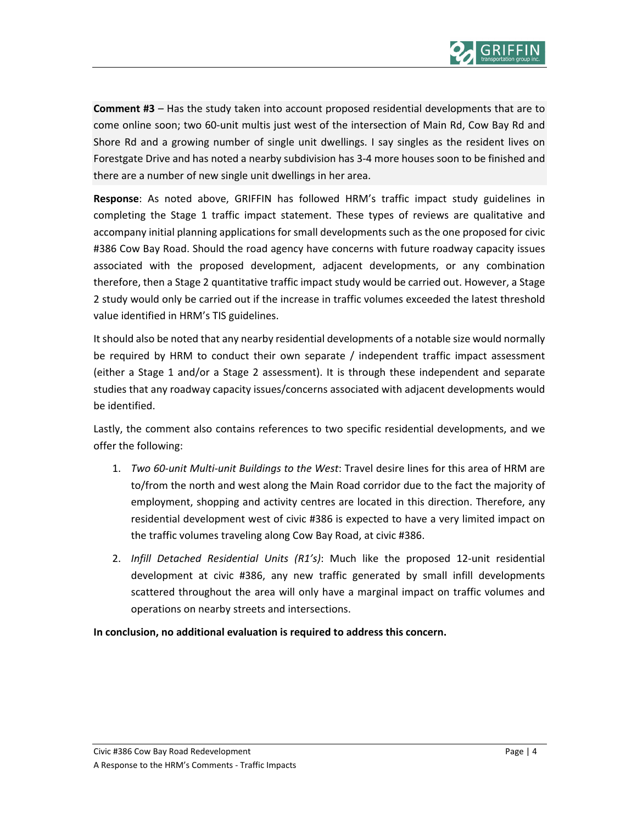

**Comment #3** – Has the study taken into account proposed residential developments that are to come online soon; two 60-unit multis just west of the intersection of Main Rd, Cow Bay Rd and Shore Rd and a growing number of single unit dwellings. I say singles as the resident lives on Forestgate Drive and has noted a nearby subdivision has 3‐4 more houses soon to be finished and there are a number of new single unit dwellings in her area.

**Response**: As noted above, GRIFFIN has followed HRM's traffic impact study guidelines in completing the Stage 1 traffic impact statement. These types of reviews are qualitative and accompany initial planning applications for small developments such as the one proposed for civic #386 Cow Bay Road. Should the road agency have concerns with future roadway capacity issues associated with the proposed development, adjacent developments, or any combination therefore, then a Stage 2 quantitative traffic impact study would be carried out. However, a Stage 2 study would only be carried out if the increase in traffic volumes exceeded the latest threshold value identified in HRM's TIS guidelines.

It should also be noted that any nearby residential developments of a notable size would normally be required by HRM to conduct their own separate / independent traffic impact assessment (either a Stage 1 and/or a Stage 2 assessment). It is through these independent and separate studies that any roadway capacity issues/concerns associated with adjacent developments would be identified.

Lastly, the comment also contains references to two specific residential developments, and we offer the following:

- 1. *Two 60‐unit Multi‐unit Buildings to the West*: Travel desire lines for this area of HRM are to/from the north and west along the Main Road corridor due to the fact the majority of employment, shopping and activity centres are located in this direction. Therefore, any residential development west of civic #386 is expected to have a very limited impact on the traffic volumes traveling along Cow Bay Road, at civic #386.
- 2. *Infill Detached Residential Units (R1's)*: Much like the proposed 12‐unit residential development at civic #386, any new traffic generated by small infill developments scattered throughout the area will only have a marginal impact on traffic volumes and operations on nearby streets and intersections.

**In conclusion, no additional evaluation is required to address this concern.**